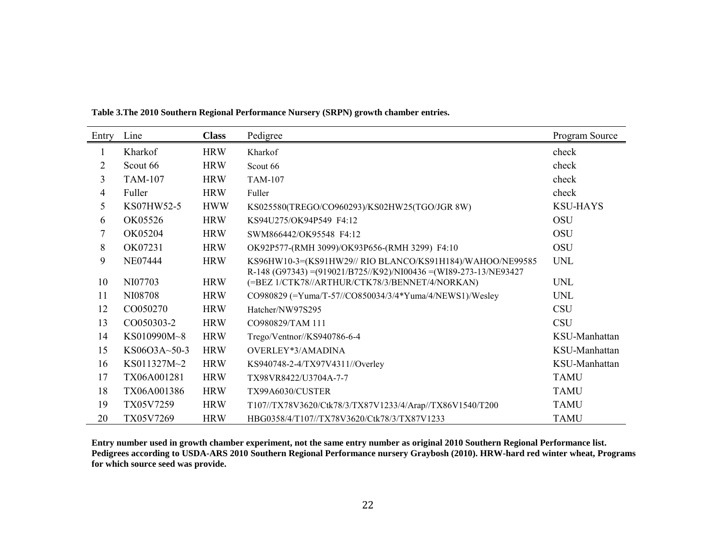| Entry | Line           | <b>Class</b> | Pedigree                                                                                                                        | Program Source  |
|-------|----------------|--------------|---------------------------------------------------------------------------------------------------------------------------------|-----------------|
| 1     | Kharkof        | <b>HRW</b>   | Kharkof                                                                                                                         | check           |
| 2     | Scout 66       | <b>HRW</b>   | Scout 66                                                                                                                        | check           |
| 3     | <b>TAM-107</b> | <b>HRW</b>   | <b>TAM-107</b>                                                                                                                  | check           |
| 4     | Fuller         | <b>HRW</b>   | Fuller                                                                                                                          | check           |
| 5     | KS07HW52-5     | <b>HWW</b>   | KS025580(TREGO/CO960293)/KS02HW25(TGO/JGR 8W)                                                                                   | <b>KSU-HAYS</b> |
| 6     | OK05526        | <b>HRW</b>   | KS94U275/OK94P549 F4:12                                                                                                         | <b>OSU</b>      |
| 7     | OK05204        | <b>HRW</b>   | SWM866442/OK95548 F4:12                                                                                                         | <b>OSU</b>      |
| 8     | OK07231        | <b>HRW</b>   | OK92P577-(RMH 3099)/OK93P656-(RMH 3299) F4:10                                                                                   | <b>OSU</b>      |
| 9     | <b>NE07444</b> | <b>HRW</b>   | KS96HW10-3=(KS91HW29// RIO BLANCO/KS91H184)/WAHOO/NE99585<br>R-148 (G97343) = (919021/B725//K92)/NI00436 = (WI89-273-13/NE93427 | <b>UNL</b>      |
| 10    | NI07703        | <b>HRW</b>   | (=BEZ 1/CTK78//ARTHUR/CTK78/3/BENNET/4/NORKAN)                                                                                  | <b>UNL</b>      |
| 11    | NI08708        | <b>HRW</b>   | CO980829 (=Yuma/T-57//CO850034/3/4*Yuma/4/NEWS1)/Wesley                                                                         | <b>UNL</b>      |
| 12    | CO050270       | <b>HRW</b>   | Hatcher/NW97S295                                                                                                                | <b>CSU</b>      |
| 13    | CO050303-2     | <b>HRW</b>   | CO980829/TAM 111                                                                                                                | <b>CSU</b>      |
| 14    | KS010990M~8    | <b>HRW</b>   | Trego/Ventnor//KS940786-6-4                                                                                                     | KSU-Manhattan   |
| 15    | KS06O3A~50-3   | <b>HRW</b>   | OVERLEY*3/AMADINA                                                                                                               | KSU-Manhattan   |
| 16    | KS011327M~2    | <b>HRW</b>   | KS940748-2-4/TX97V4311//Overley                                                                                                 | KSU-Manhattan   |
| 17    | TX06A001281    | <b>HRW</b>   | TX98VR8422/U3704A-7-7                                                                                                           | <b>TAMU</b>     |
| 18    | TX06A001386    | <b>HRW</b>   | TX99A6030/CUSTER                                                                                                                | <b>TAMU</b>     |
| 19    | TX05V7259      | <b>HRW</b>   | T107//TX78V3620/Ctk78/3/TX87V1233/4/Arap//TX86V1540/T200                                                                        | <b>TAMU</b>     |
| 20    | TX05V7269      | <b>HRW</b>   | HBG0358/4/T107//TX78V3620/Ctk78/3/TX87V1233                                                                                     | <b>TAMU</b>     |

**Table 3.The 2010 Southern Regional Performance Nursery (SRPN) growth chamber entries.**

**Entry number used in growth chamber experiment, not the same entry number as original 2010 Southern Regional Performance list. Pedigrees according to USDA-ARS 2010 Southern Regional Performance nursery Graybosh (2010). HRW-hard red winter wheat, Programs for which source seed was provide.**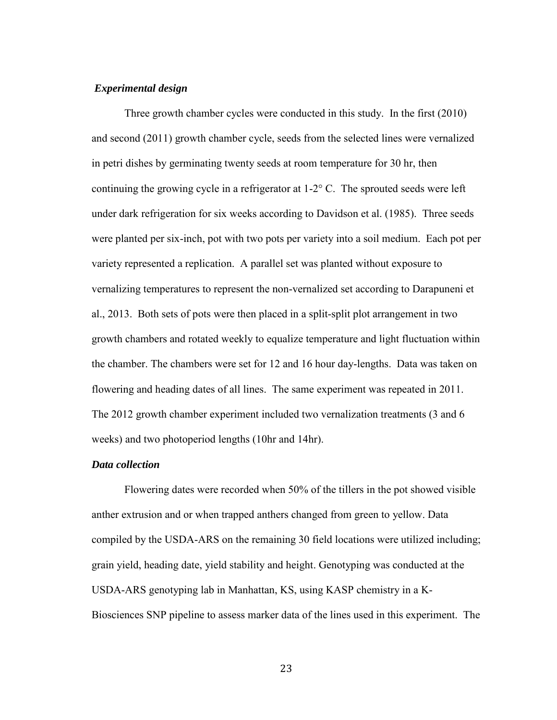## *Experimental design*

Three growth chamber cycles were conducted in this study. In the first (2010) and second (2011) growth chamber cycle, seeds from the selected lines were vernalized in petri dishes by germinating twenty seeds at room temperature for 30 hr, then continuing the growing cycle in a refrigerator at 1-2° C. The sprouted seeds were left under dark refrigeration for six weeks according to Davidson et al. (1985). Three seeds were planted per six-inch, pot with two pots per variety into a soil medium. Each pot per variety represented a replication. A parallel set was planted without exposure to vernalizing temperatures to represent the non-vernalized set according to Darapuneni et al., 2013. Both sets of pots were then placed in a split-split plot arrangement in two growth chambers and rotated weekly to equalize temperature and light fluctuation within the chamber. The chambers were set for 12 and 16 hour day-lengths. Data was taken on flowering and heading dates of all lines. The same experiment was repeated in 2011. The 2012 growth chamber experiment included two vernalization treatments (3 and 6 weeks) and two photoperiod lengths (10hr and 14hr).

# *Data collection*

Flowering dates were recorded when 50% of the tillers in the pot showed visible anther extrusion and or when trapped anthers changed from green to yellow. Data compiled by the USDA-ARS on the remaining 30 field locations were utilized including; grain yield, heading date, yield stability and height. Genotyping was conducted at the USDA-ARS genotyping lab in Manhattan, KS, using KASP chemistry in a K-Biosciences SNP pipeline to assess marker data of the lines used in this experiment. The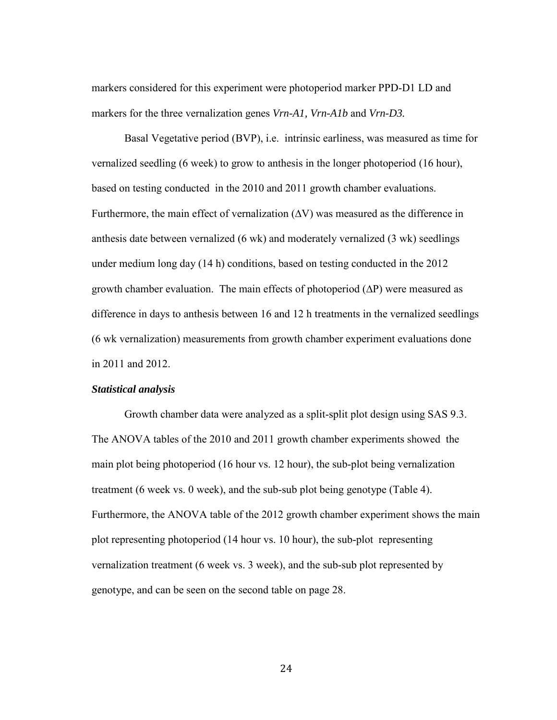markers considered for this experiment were photoperiod marker PPD-D1 LD and markers for the three vernalization genes *Vrn-A1, Vrn-A1b* and *Vrn-D3.* 

Basal Vegetative period (BVP), i.e. intrinsic earliness, was measured as time for vernalized seedling (6 week) to grow to anthesis in the longer photoperiod (16 hour), based on testing conducted in the 2010 and 2011 growth chamber evaluations. Furthermore, the main effect of vernalization (∆V) was measured as the difference in anthesis date between vernalized (6 wk) and moderately vernalized (3 wk) seedlings under medium long day (14 h) conditions, based on testing conducted in the 2012 growth chamber evaluation. The main effects of photoperiod (∆P) were measured as difference in days to anthesis between 16 and 12 h treatments in the vernalized seedlings (6 wk vernalization) measurements from growth chamber experiment evaluations done in 2011 and 2012.

# *Statistical analysis*

Growth chamber data were analyzed as a split-split plot design using SAS 9.3. The ANOVA tables of the 2010 and 2011 growth chamber experiments showed the main plot being photoperiod (16 hour vs. 12 hour), the sub-plot being vernalization treatment (6 week vs. 0 week), and the sub-sub plot being genotype (Table 4). Furthermore, the ANOVA table of the 2012 growth chamber experiment shows the main plot representing photoperiod (14 hour vs. 10 hour), the sub-plot representing vernalization treatment (6 week vs. 3 week), and the sub-sub plot represented by genotype, and can be seen on the second table on page 28.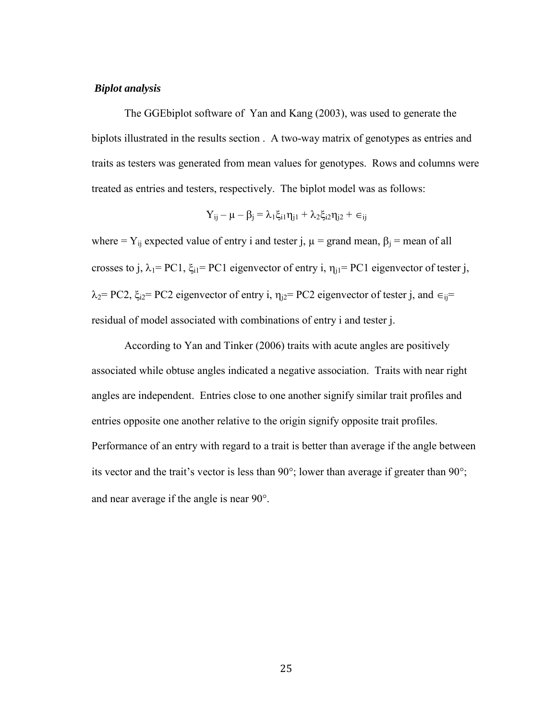## *Biplot analysis*

The GGEbiplot software of Yan and Kang (2003), was used to generate the biplots illustrated in the results section . A two-way matrix of genotypes as entries and traits as testers was generated from mean values for genotypes. Rows and columns were treated as entries and testers, respectively. The biplot model was as follows:

$$
Y_{ij} - \mu - \beta_j = \lambda_1 \xi_{i1} \eta_{j1} + \lambda_2 \xi_{i2} \eta_{j2} + \in_{ij}
$$

where =  $Y_{ij}$  expected value of entry i and tester j,  $\mu$  = grand mean,  $\beta_i$  = mean of all crosses to j,  $\lambda_1$ = PC1,  $\xi_{i1}$ = PC1 eigenvector of entry i,  $\eta_{i1}$ = PC1 eigenvector of tester j,  $\lambda_2$ = PC2,  $\xi_{i2}$ = PC2 eigenvector of entry i,  $\eta_{i2}$ = PC2 eigenvector of tester j, and  $\epsilon_{ii}$ = residual of model associated with combinations of entry i and tester j.

 According to Yan and Tinker [\(2006\)](#page-59-0) traits with acute angles are positively associated while obtuse angles indicated a negative association. Traits with near right angles are independent. Entries close to one another signify similar trait profiles and entries opposite one another relative to the origin signify opposite trait profiles. Performance of an entry with regard to a trait is better than average if the angle between its vector and the trait's vector is less than 90°; lower than average if greater than 90°; and near average if the angle is near 90°.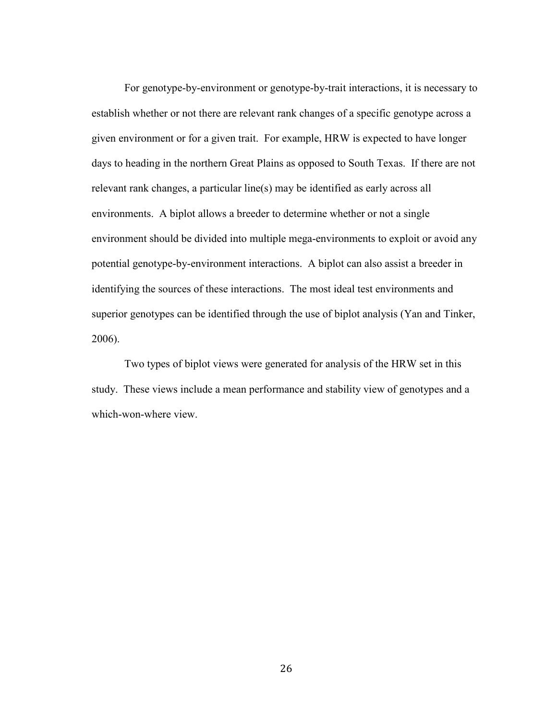For genotype-by-environment or genotype-by-trait interactions, it is necessary to establish whether or not there are relevant rank changes of a specific genotype across a given environment or for a given trait. For example, HRW is expected to have longer days to heading in the northern Great Plains as opposed to South Texas. If there are not relevant rank changes, a particular line(s) may be identified as early across all environments. A biplot allows a breeder to determine whether or not a single environment should be divided into multiple mega-environments to exploit or avoid any potential genotype-by-environment interactions. A biplot can also assist a breeder in identifying the sources of these interactions. The most ideal test environments and superior genotypes can be identified through the use of biplot analysis (Yan and Tinker, 2006).

Two types of biplot views were generated for analysis of the HRW set in this study. These views include a mean performance and stability view of genotypes and a which-won-where view.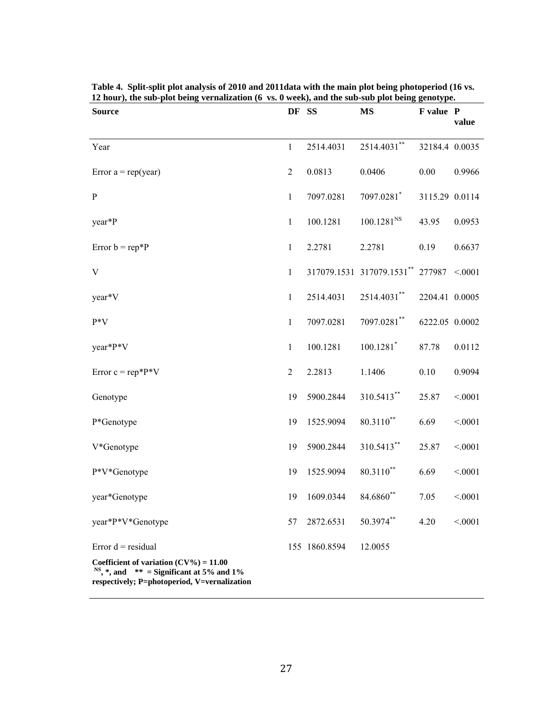| <b>Source</b>                                                                                                                                          | DF SS          |               | <b>MS</b>                        | F value P      | value  |
|--------------------------------------------------------------------------------------------------------------------------------------------------------|----------------|---------------|----------------------------------|----------------|--------|
| Year                                                                                                                                                   | $\mathbf{1}$   | 2514.4031     | 2514.4031**                      | 32184.4 0.0035 |        |
| Error $a = rep(year)$                                                                                                                                  | $\mathfrak{2}$ | 0.0813        | 0.0406                           | 0.00           | 0.9966 |
| $\, {\bf p}$                                                                                                                                           | $\mathbf{1}$   | 7097.0281     | 7097.0281*                       | 3115.29 0.0114 |        |
| year*P                                                                                                                                                 | $\mathbf{1}$   | 100.1281      | 100.1281 <sup>NS</sup>           | 43.95          | 0.0953 |
| Error $b = rep*P$                                                                                                                                      | $\mathbf{1}$   | 2.2781        | 2.2781                           | 0.19           | 0.6637 |
| V                                                                                                                                                      | $\mathbf{1}$   |               | 317079.1531 317079.1531** 277987 |                | < 0001 |
| year <sup>*</sup> V                                                                                                                                    | $\mathbf{1}$   | 2514.4031     | 2514.4031**                      | 2204.41 0.0005 |        |
| $P*V$                                                                                                                                                  | $\mathbf{1}$   | 7097.0281     | $7097.0281$ **                   | 6222.05 0.0002 |        |
| year*P*V                                                                                                                                               | $\mathbf{1}$   | 100.1281      | $100.1281$ <sup>*</sup>          | 87.78          | 0.0112 |
| Error $c = rep*P*V$                                                                                                                                    | $\overline{c}$ | 2.2813        | 1.1406                           | 0.10           | 0.9094 |
| Genotype                                                                                                                                               | 19             | 5900.2844     | 310.5413**                       | 25.87          | < 0001 |
| P*Genotype                                                                                                                                             | 19             | 1525.9094     | $80.3110**$                      | 6.69           | < 0001 |
| V*Genotype                                                                                                                                             | 19             | 5900.2844     | 310.5413**                       | 25.87          | < 0001 |
| P*V*Genotype                                                                                                                                           | 19             | 1525.9094     | 80.3110**                        | 6.69           | < 0001 |
| year*Genotype                                                                                                                                          | 19             | 1609.0344     | 84.6860**                        | 7.05           | < 0001 |
| year*P*V*Genotype                                                                                                                                      | 57             | 2872.6531     | 50.3974**                        | 4.20           | < 0001 |
| Error $d = residual$                                                                                                                                   |                | 155 1860.8594 | 12.0055                          |                |        |
| Coefficient of variation $(CV\%) = 11.00$<br><sup>NS</sup> , $*$ , and $**$ = Significant at 5% and 1%<br>respectively; P=photoperiod, V=vernalization |                |               |                                  |                |        |

**Table 4. Split-split plot analysis of 2010 and 2011data with the main plot being photoperiod (16 vs. 12 hour), the sub-plot being vernalization (6 vs. 0 week), and the sub-sub plot being genotype.**

 $\overline{\phantom{a}}$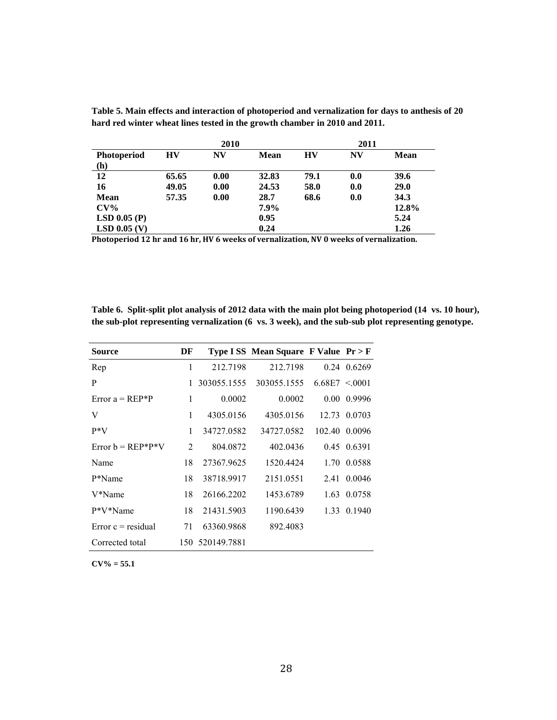|                    |       | 2010 |       |      | 2011 |       |
|--------------------|-------|------|-------|------|------|-------|
| <b>Photoperiod</b> | HV    | N V  | Mean  | HV   | NV   | Mean  |
| (h)                |       |      |       |      |      |       |
| 12                 | 65.65 | 0.00 | 32.83 | 79.1 | 0.0  | 39.6  |
| 16                 | 49.05 | 0.00 | 24.53 | 58.0 | 0.0  | 29.0  |
| Mean               | 57.35 | 0.00 | 28.7  | 68.6 | 0.0  | 34.3  |
| $CV\%$             |       |      | 7.9%  |      |      | 12.8% |
| $LSD$ 0.05 (P)     |       |      | 0.95  |      |      | 5.24  |
| $LSD$ 0.05 (V)     |       |      | 0.24  |      |      | 1.26  |

**Table 5. Main effects and interaction of photoperiod and vernalization for days to anthesis of 20 hard red winter wheat lines tested in the growth chamber in 2010 and 2011.**

**Photoperiod 12 hr and 16 hr, HV 6 weeks of vernalization, NV 0 weeks of vernalization.**

**Table 6. Split-split plot analysis of 2012 data with the main plot being photoperiod (14 vs. 10 hour), the sub-plot representing vernalization (6 vs. 3 week), and the sub-sub plot representing genotype.**

| Source               | DF |                 | Type ISS Mean Square F Value Pr > F |                    |               |
|----------------------|----|-----------------|-------------------------------------|--------------------|---------------|
| Rep                  | 1  | 212.7198        | 212.7198                            |                    | $0.24$ 0.6269 |
| P                    | 1  | 303055.1555     | 303055.1555                         | $6.68E7 \le 0.001$ |               |
| Error $a = REP^*P$   | 1  | 0.0002          | 0.0002                              |                    | 0.00 0.9996   |
| V                    | 1  | 4305.0156       | 4305.0156                           |                    | 12.73 0.0703  |
| $P*V$                | 1  | 34727.0582      | 34727.0582                          |                    | 102.40 0.0096 |
| $Error b = REP*P*V$  | 2  | 804.0872        | 402.0436                            |                    | 0.45 0.6391   |
| Name                 | 18 | 27367.9625      | 1520.4424                           | 1.70               | 0.0588        |
| P*Name               | 18 | 38718.9917      | 2151.0551                           | 2.41               | 0.0046        |
| V*Name               | 18 | 26166.2202      | 1453.6789                           |                    | 1.63 0.0758   |
| P*V*Name             | 18 | 21431.5903      | 1190.6439                           |                    | 1.33 0.1940   |
| $Error c = residual$ | 71 | 63360.9868      | 892.4083                            |                    |               |
| Corrected total      |    | 150 520149.7881 |                                     |                    |               |

**CV% = 55.1**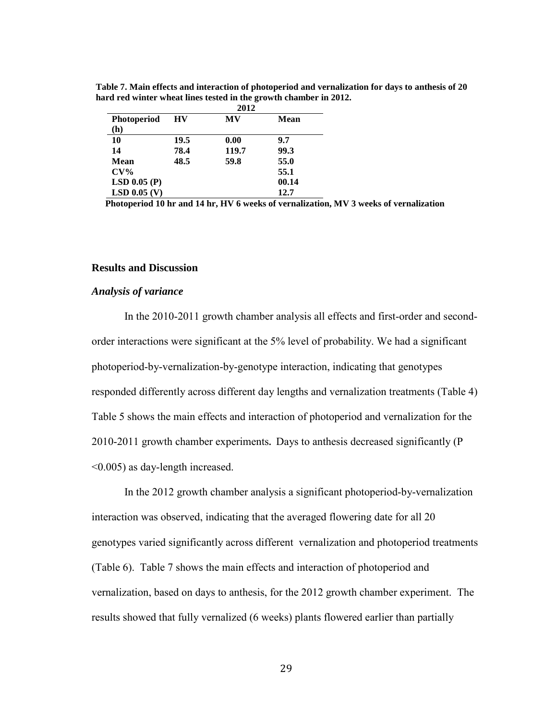|                    |      | 2012  |       |
|--------------------|------|-------|-------|
| <b>Photoperiod</b> | HV   | MV    | Mean  |
| (h)                |      |       |       |
| 10                 | 19.5 | 0.00  | 9.7   |
| 14                 | 78.4 | 119.7 | 99.3  |
| Mean               | 48.5 | 59.8  | 55.0  |
| $CV\%$             |      |       | 55.1  |
| $LSD$ 0.05 (P)     |      |       | 00.14 |
| $LSD$ 0.05 (V)     |      |       | 12.7  |

**Table 7. Main effects and interaction of photoperiod and vernalization for days to anthesis of 20 hard red winter wheat lines tested in the growth chamber in 2012.**

 **Photoperiod 10 hr and 14 hr, HV 6 weeks of vernalization, MV 3 weeks of vernalization**

#### **Results and discussion**

#### *Analysis of variance*

In the 2010-2011 growth chamber analysis all effects and first-order and secondorder interactions were significant at the 5% level of probability. We had a significant photoperiod-by-vernalization-by-genotype interaction, indicating that genotypes responded differently across different day lengths and vernalization treatments (Table 4) Table 5 shows the main effects and interaction of photoperiod and vernalization for the 2010-2011 growth chamber experiments**.** Days to anthesis decreased significantly (P <0.005) as day-length increased.

In the 2012 growth chamber analysis a significant photoperiod-by-vernalization interaction was observed, indicating that the averaged flowering date for all 20 genotypes varied significantly across different vernalization and photoperiod treatments (Table 6). Table 7 shows the main effects and interaction of photoperiod and vernalization, based on days to anthesis, for the 2012 growth chamber experiment. The results showed that fully vernalized (6 weeks) plants flowered earlier than partially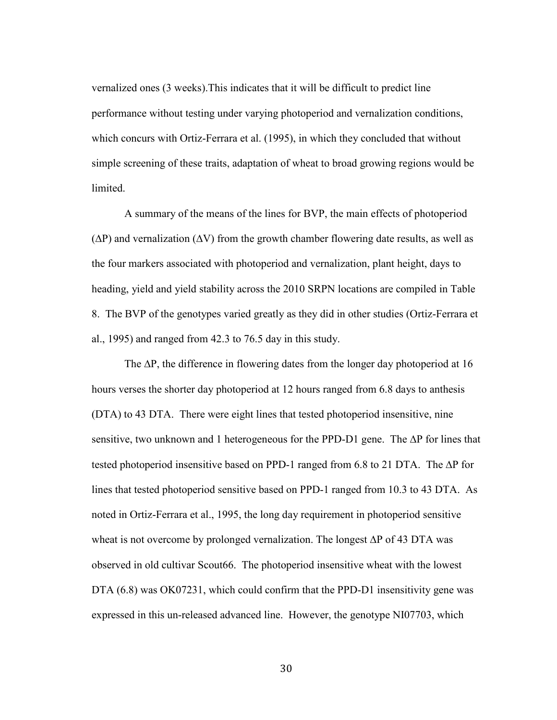vernalized ones (3 weeks).This indicates that it will be difficult to predict line performance without testing under varying photoperiod and vernalization conditions, which concurs with Ortiz-Ferrara et al. (1995), in which they concluded that without simple screening of these traits, adaptation of wheat to broad growing regions would be limited.

A summary of the means of the lines for BVP, the main effects of photoperiod  $(\Delta P)$  and vernalization  $(\Delta V)$  from the growth chamber flowering date results, as well as the four markers associated with photoperiod and vernalization, plant height, days to heading, yield and yield stability across the 2010 SRPN locations are compiled in Table 8. The BVP of the genotypes varied greatly as they did in other studies (Ortiz-Ferrara et al., 1995) and ranged from 42.3 to 76.5 day in this study.

The ∆P, the difference in flowering dates from the longer day photoperiod at 16 hours verses the shorter day photoperiod at 12 hours ranged from 6.8 days to anthesis (DTA) to 43 DTA. There were eight lines that tested photoperiod insensitive, nine sensitive, two unknown and 1 heterogeneous for the PPD-D1 gene. The ΔP for lines that tested photoperiod insensitive based on PPD-1 ranged from 6.8 to 21 DTA. The ∆P for lines that tested photoperiod sensitive based on PPD-1 ranged from 10.3 to 43 DTA. As noted in Ortiz-Ferrara et al., 1995, the long day requirement in photoperiod sensitive wheat is not overcome by prolonged vernalization. The longest ∆P of 43 DTA was observed in old cultivar Scout66. The photoperiod insensitive wheat with the lowest DTA (6.8) was OK07231, which could confirm that the PPD-D1 insensitivity gene was expressed in this un-released advanced line. However, the genotype NI07703, which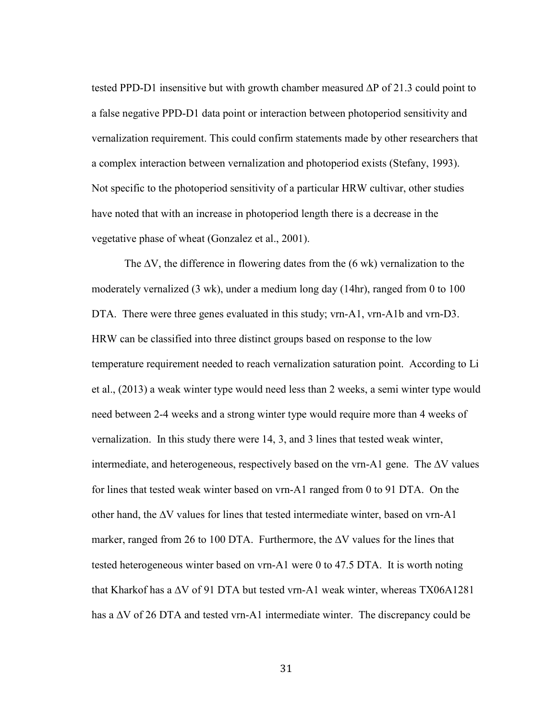tested PPD-D1 insensitive but with growth chamber measured ∆P of 21.3 could point to a false negative PPD-D1 data point or interaction between photoperiod sensitivity and vernalization requirement. This could confirm statements made by other researchers that a complex interaction between vernalization and photoperiod exists (Stefany, 1993). Not specific to the photoperiod sensitivity of a particular HRW cultivar, other studies have noted that with an increase in photoperiod length there is a decrease in the vegetative phase of wheat (Gonzalez et al., 2001).

The ∆V, the difference in flowering dates from the (6 wk) vernalization to the moderately vernalized (3 wk), under a medium long day (14hr), ranged from 0 to 100 DTA. There were three genes evaluated in this study; vrn-A1, vrn-A1b and vrn-D3. HRW can be classified into three distinct groups based on response to the low temperature requirement needed to reach vernalization saturation point. According to Li et al., (2013) a weak winter type would need less than 2 weeks, a semi winter type would need between 2-4 weeks and a strong winter type would require more than 4 weeks of vernalization. In this study there were 14, 3, and 3 lines that tested weak winter, intermediate, and heterogeneous, respectively based on the vrn-A1 gene. The ∆V values for lines that tested weak winter based on vrn-A1 ranged from 0 to 91 DTA. On the other hand, the ∆V values for lines that tested intermediate winter, based on vrn-A1 marker, ranged from 26 to 100 DTA. Furthermore, the ∆V values for the lines that tested heterogeneous winter based on vrn-A1 were 0 to 47.5 DTA. It is worth noting that Kharkof has a ∆V of 91 DTA but tested vrn-A1 weak winter, whereas TX06A1281 has a ∆V of 26 DTA and tested vrn-A1 intermediate winter. The discrepancy could be

31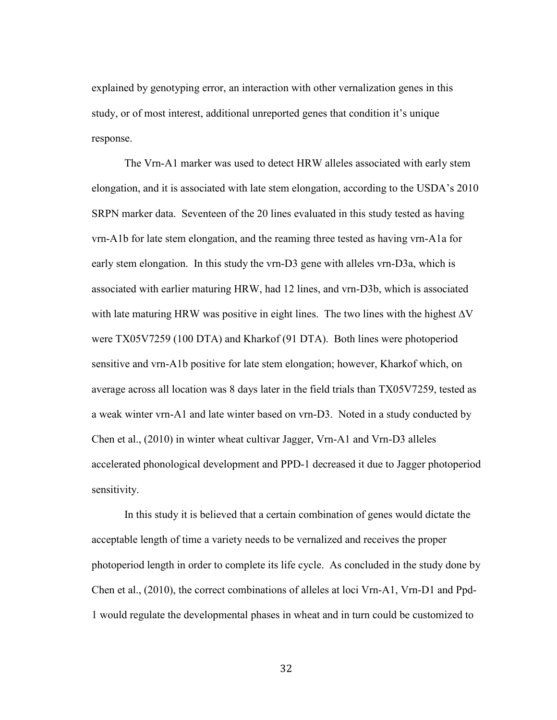explained by genotyping error, an interaction with other vernalization genes in this study, or of most interest, additional unreported genes that condition it's unique response.

The Vrn-A1 marker was used to detect HRW alleles associated with early stem elongation, and it is associated with late stem elongation, according to the USDA's 2010 SRPN marker data. Seventeen of the 20 lines evaluated in this study tested as having vrn-A1b for late stem elongation, and the reaming three tested as having vrn-A1a for early stem elongation. In this study the vrn-D3 gene with alleles vrn-D3a, which is associated with earlier maturing HRW, had 12 lines, and vrn-D3b, which is associated with late maturing HRW was positive in eight lines. The two lines with the highest  $\Delta V$ were TX05V7259 (100 DTA) and Kharkof (91 DTA). Both lines were photoperiod sensitive and vrn-A1b positive for late stem elongation; however, Kharkof which, on average across all location was 8 days later in the field trials than TX05V7259, tested as a weak winter vrn-A1 and late winter based on vrn-D3. Noted in a study conducted by Chen et al., (2010) in winter wheat cultivar Jagger, Vrn-A1 and Vrn-D3 alleles accelerated phonological development and PPD-1 decreased it due to Jagger photoperiod sensitivity.

In this study it is believed that a certain combination of genes would dictate the acceptable length of time a variety needs to be vernalized and receives the proper photoperiod length in order to complete its life cycle. As concluded in the study done by Chen et al., (2010), the correct combinations of alleles at loci Vrn-A1, Vrn-D1 and Ppd-1 would regulate the developmental phases in wheat and in turn could be customized to

32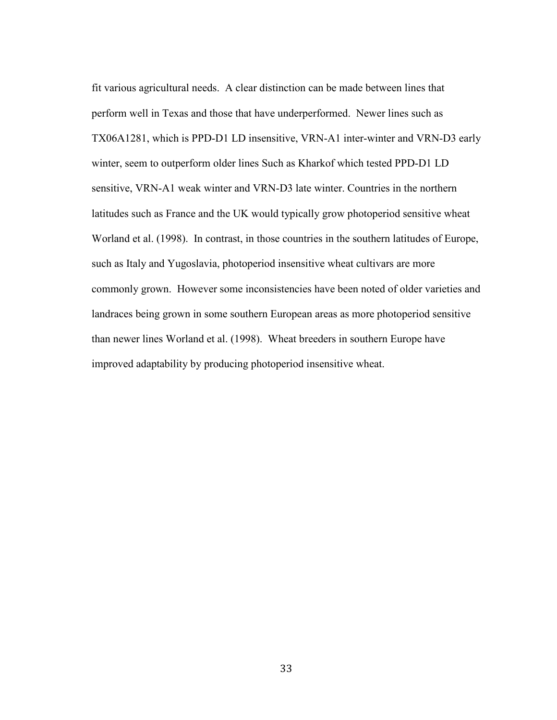fit various agricultural needs. A clear distinction can be made between lines that perform well in Texas and those that have underperformed. Newer lines such as TX06A1281, which is PPD-D1 LD insensitive, VRN-A1 inter-winter and VRN-D3 early winter, seem to outperform older lines Such as Kharkof which tested PPD-D1 LD sensitive, VRN-A1 weak winter and VRN-D3 late winter. Countries in the northern latitudes such as France and the UK would typically grow photoperiod sensitive wheat Worland et al. (1998). In contrast, in those countries in the southern latitudes of Europe, such as Italy and Yugoslavia, photoperiod insensitive wheat cultivars are more commonly grown. However some inconsistencies have been noted of older varieties and landraces being grown in some southern European areas as more photoperiod sensitive than newer lines Worland et al. (1998). Wheat breeders in southern Europe have improved adaptability by producing photoperiod insensitive wheat.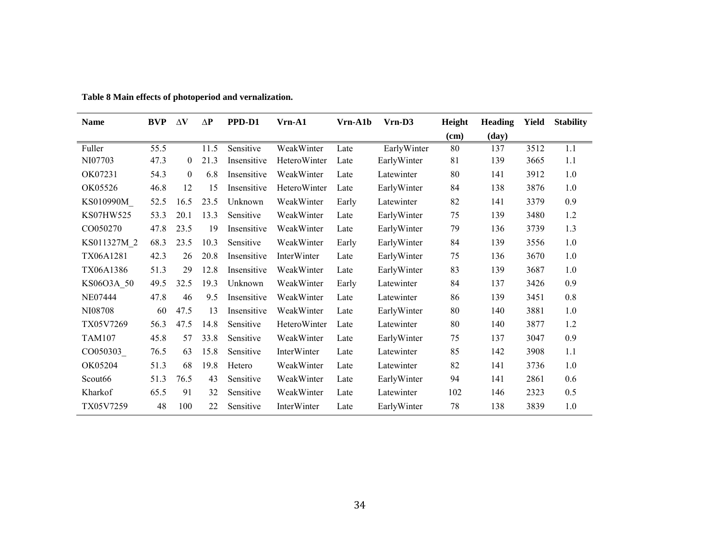| Name             | <b>BVP</b> | $\Delta V$ | $\Delta P$ | PPD-D1      | Vrn-A1             | Vrn-A1b | $Vrn-D3$    | Height | Heading | Yield | <b>Stability</b> |
|------------------|------------|------------|------------|-------------|--------------------|---------|-------------|--------|---------|-------|------------------|
|                  |            |            |            |             |                    |         |             | (cm)   | (day)   |       |                  |
| Fuller           | 55.5       |            | 11.5       | Sensitive   | WeakWinter         | Late    | EarlyWinter | 80     | 137     | 3512  | 1.1              |
| NI07703          | 47.3       | 0          | 21.3       | Insensitive | HeteroWinter       | Late    | EarlyWinter | 81     | 139     | 3665  | 1.1              |
| OK07231          | 54.3       | $\theta$   | 6.8        | Insensitive | WeakWinter         | Late    | Latewinter  | 80     | 141     | 3912  | 1.0              |
| OK05526          | 46.8       | 12         | 15         | Insensitive | HeteroWinter       | Late    | EarlyWinter | 84     | 138     | 3876  | 1.0              |
| KS010990M        | 52.5       | 16.5       | 23.5       | Unknown     | WeakWinter         | Early   | Latewinter  | 82     | 141     | 3379  | 0.9              |
| KS07HW525        | 53.3       | 20.1       | 13.3       | Sensitive   | WeakWinter         | Late    | EarlyWinter | 75     | 139     | 3480  | 1.2              |
| CO050270         | 47.8       | 23.5       | 19         | Insensitive | WeakWinter         | Late    | EarlyWinter | 79     | 136     | 3739  | 1.3              |
| KS011327M 2      | 68.3       | 23.5       | 10.3       | Sensitive   | WeakWinter         | Early   | EarlyWinter | 84     | 139     | 3556  | 1.0              |
| TX06A1281        | 42.3       | 26         | 20.8       | Insensitive | <b>InterWinter</b> | Late    | EarlyWinter | 75     | 136     | 3670  | 1.0              |
| <b>TX06A1386</b> | 51.3       | 29         | 12.8       | Insensitive | WeakWinter         | Late    | EarlyWinter | 83     | 139     | 3687  | 1.0              |
| KS06O3A 50       | 49.5       | 32.5       | 19.3       | Unknown     | WeakWinter         | Early   | Latewinter  | 84     | 137     | 3426  | 0.9              |
| NE07444          | 47.8       | 46         | 9.5        | Insensitive | WeakWinter         | Late    | Latewinter  | 86     | 139     | 3451  | 0.8              |
| NI08708          | 60         | 47.5       | 13         | Insensitive | WeakWinter         | Late    | EarlyWinter | 80     | 140     | 3881  | 1.0              |
| TX05V7269        | 56.3       | 47.5       | 14.8       | Sensitive   | HeteroWinter       | Late    | Latewinter  | 80     | 140     | 3877  | 1.2              |
| <b>TAM107</b>    | 45.8       | 57         | 33.8       | Sensitive   | WeakWinter         | Late    | EarlyWinter | 75     | 137     | 3047  | 0.9              |
| CO050303         | 76.5       | 63         | 15.8       | Sensitive   | InterWinter        | Late    | Latewinter  | 85     | 142     | 3908  | 1.1              |
| OK05204          | 51.3       | 68         | 19.8       | Hetero      | WeakWinter         | Late    | Latewinter  | 82     | 141     | 3736  | 1.0              |
| Scout66          | 51.3       | 76.5       | 43         | Sensitive   | WeakWinter         | Late    | EarlyWinter | 94     | 141     | 2861  | 0.6              |
| Kharkof          | 65.5       | 91         | 32         | Sensitive   | WeakWinter         | Late    | Latewinter  | 102    | 146     | 2323  | 0.5              |
| TX05V7259        | 48         | 100        | 22         | Sensitive   | <b>InterWinter</b> | Late    | EarlyWinter | 78     | 138     | 3839  | 1.0              |

**Table 8 Main effects of photoperiod and vernalization.**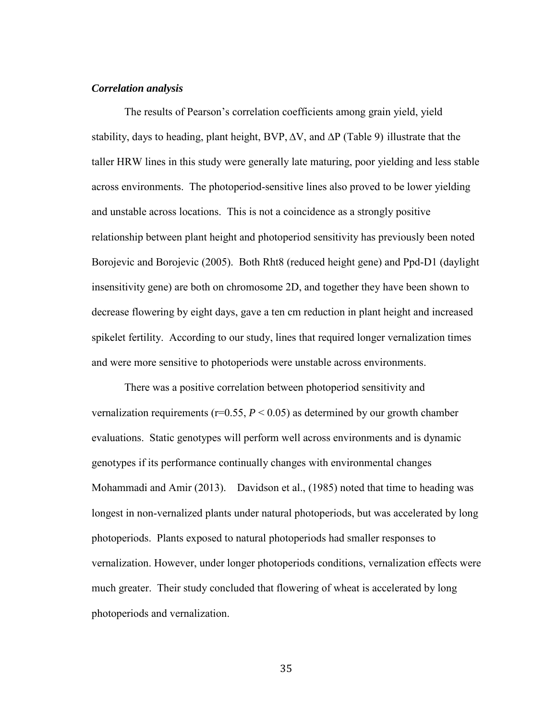### *Correlation analysis*

The results of Pearson's correlation coefficients among grain yield, yield stability, days to heading, plant height, BVP, ∆V, and ∆P (Table 9) illustrate that the taller HRW lines in this study were generally late maturing, poor yielding and less stable across environments. The photoperiod-sensitive lines also proved to be lower yielding and unstable across locations. This is not a coincidence as a strongly positive relationship between plant height and photoperiod sensitivity has previously been noted Borojevic and Borojevic (2005). Both Rht8 (reduced height gene) and Ppd-D1 (daylight insensitivity gene) are both on chromosome 2D, and together they have been shown to decrease flowering by eight days, gave a ten cm reduction in plant height and increased spikelet fertility. According to our study, lines that required longer vernalization times and were more sensitive to photoperiods were unstable across environments.

There was a positive correlation between photoperiod sensitivity and vernalization requirements ( $r=0.55$ ,  $P < 0.05$ ) as determined by our growth chamber evaluations. Static genotypes will perform well across environments and is dynamic genotypes if its performance continually changes with environmental changes Mohammadi and Amir (2013). Davidson et al., (1985) noted that time to heading was longest in non-vernalized plants under natural photoperiods, but was accelerated by long photoperiods. Plants exposed to natural photoperiods had smaller responses to vernalization. However, under longer photoperiods conditions, vernalization effects were much greater. Their study concluded that flowering of wheat is accelerated by long photoperiods and vernalization.

35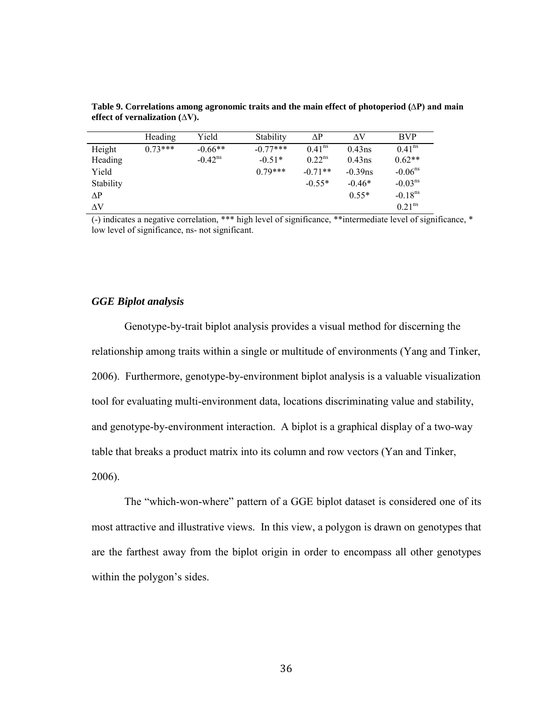|           | Heading   | Yield               | Stability  | ΛP                 | ΛV         | <b>BVP</b>            |
|-----------|-----------|---------------------|------------|--------------------|------------|-----------------------|
| Height    | $0.73***$ | $-0.66**$           | $-0.77***$ | 0.41 <sup>ns</sup> | $0.43$ ns  | 0.41 <sup>ns</sup>    |
| Heading   |           | $-0.42^{\text{ns}}$ | $-0.51*$   | 0.22 <sup>ns</sup> | $0.43$ ns  | $0.62**$              |
| Yield     |           |                     | $0.79***$  | $-0.71**$          | $-0.39$ ns | $-0.06ns$             |
| Stability |           |                     |            | $-0.55*$           | $-0.46*$   | $-0.03ns$             |
| ΛP        |           |                     |            |                    | $0.55*$    | $-0.18$ <sup>ns</sup> |
| ΛV        |           |                     |            |                    |            | 0.21 <sup>ns</sup>    |

**Table 9. Correlations among agronomic traits and the main effect of photoperiod (∆P) and main effect of vernalization (∆V).**

(-) indicates a negative correlation, \*\*\* high level of significance, \*\*intermediate level of significance, \* low level of significance, ns- not significant.

### *GGE Biplot analysis*

Genotype-by-trait biplot analysis provides a visual method for discerning the relationship among traits within a single or multitude of environments (Yang and Tinker, 2006). Furthermore, genotype-by-environment biplot analysis is a valuable visualization tool for evaluating multi-environment data, locations discriminating value and stability, and genotype-by-environment interaction. A biplot is a graphical display of a two-way table that breaks a product matrix into its column and row vectors (Yan and Tinker, 2006).

The "which-won-where" pattern of a GGE biplot dataset is considered one of its most attractive and illustrative views. In this view, a polygon is drawn on genotypes that are the farthest away from the biplot origin in order to encompass all other genotypes within the polygon's sides.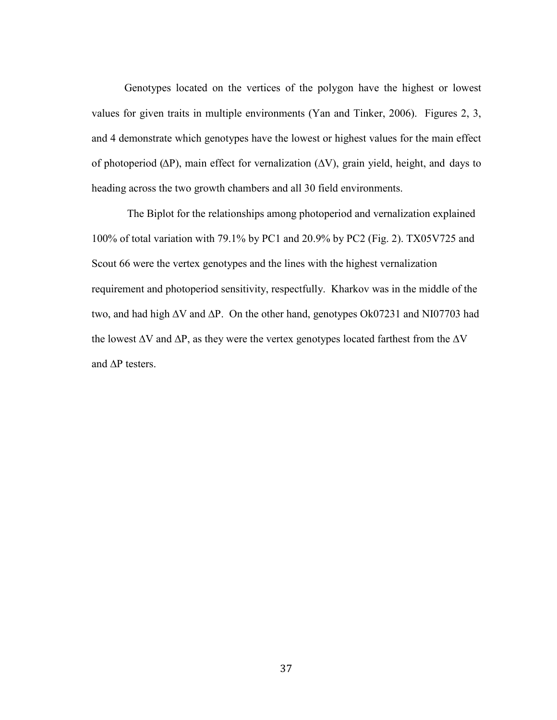Genotypes located on the vertices of the polygon have the highest or lowest values for given traits in multiple environments (Yan and Tinker, 2006). Figures 2, 3, and 4 demonstrate which genotypes have the lowest or highest values for the main effect of photoperiod (∆P), main effect for vernalization (∆V), grain yield, height, and days to heading across the two growth chambers and all 30 field environments.

The Biplot for the relationships among photoperiod and vernalization explained 100% of total variation with 79.1% by PC1 and 20.9% by PC2 (Fig. 2). TX05V725 and Scout 66 were the vertex genotypes and the lines with the highest vernalization requirement and photoperiod sensitivity, respectfully. Kharkov was in the middle of the two, and had high ∆V and ∆P. On the other hand, genotypes Ok07231 and NI07703 had the lowest ∆V and ∆P, as they were the vertex genotypes located farthest from the ∆V and ∆P testers.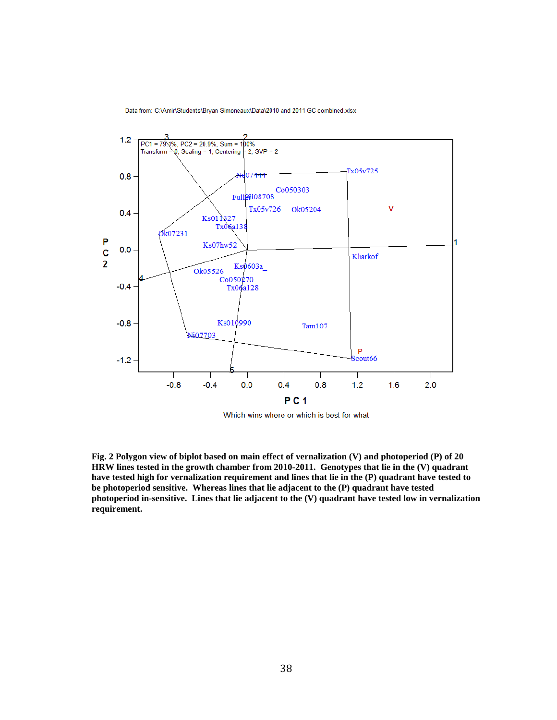Data from: C:\Amir\Students\Bryan Simoneaux\Data\2010 and 2011 GC combined.xlsx



Which wins where or which is best for what

**Fig. 2 Polygon view of biplot based on main effect of vernalization (V) and photoperiod (P) of 20 HRW lines tested in the growth chamber from 2010-2011. Genotypes that lie in the (V) quadrant have tested high for vernalization requirement and lines that lie in the (P) quadrant have tested to be photoperiod sensitive. Whereas lines that lie adjacent to the (P) quadrant have tested photoperiod in-sensitive. Lines that lie adjacent to the (V) quadrant have tested low in vernalization requirement.**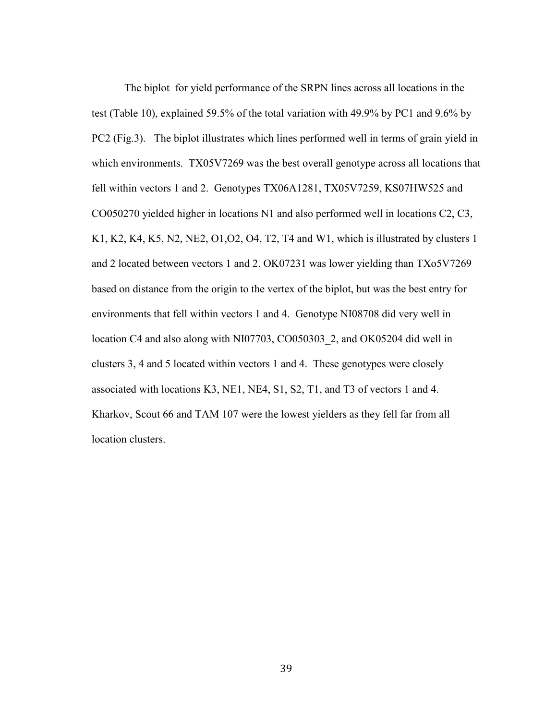The biplot for yield performance of the SRPN lines across all locations in the test (Table 10), explained 59.5% of the total variation with 49.9% by PC1 and 9.6% by PC2 (Fig.3). The biplot illustrates which lines performed well in terms of grain yield in which environments. TX05V7269 was the best overall genotype across all locations that fell within vectors 1 and 2. Genotypes TX06A1281, TX05V7259, KS07HW525 and CO050270 yielded higher in locations N1 and also performed well in locations C2, C3, K1, K2, K4, K5, N2, NE2, O1,O2, O4, T2, T4 and W1, which is illustrated by clusters 1 and 2 located between vectors 1 and 2. OK07231 was lower yielding than TXo5V7269 based on distance from the origin to the vertex of the biplot, but was the best entry for environments that fell within vectors 1 and 4. Genotype NI08708 did very well in location C4 and also along with NI07703, CO050303\_2, and OK05204 did well in clusters 3, 4 and 5 located within vectors 1 and 4. These genotypes were closely associated with locations K3, NE1, NE4, S1, S2, T1, and T3 of vectors 1 and 4. Kharkov, Scout 66 and TAM 107 were the lowest yielders as they fell far from all location clusters.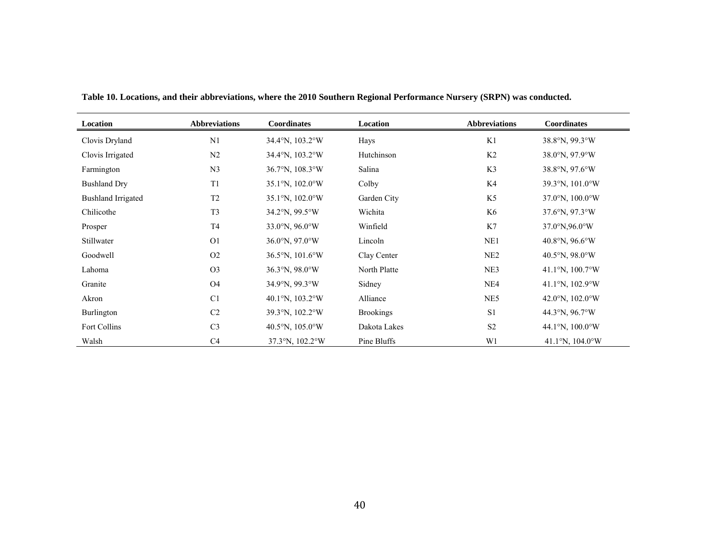| Location                  | <b>Abbreviations</b> | Coordinates                        | Location         | <b>Abbreviations</b> | Coordinates                         |
|---------------------------|----------------------|------------------------------------|------------------|----------------------|-------------------------------------|
| Clovis Dryland            | N <sub>1</sub>       | 34.4°N, 103.2°W                    | Hays             | K1                   | 38.8°N, 99.3°W                      |
| Clovis Irrigated          | N2                   | 34.4°N, 103.2°W                    | Hutchinson       | K <sub>2</sub>       | 38.0°N, 97.9°W                      |
| Farmington                | N <sub>3</sub>       | 36.7°N, 108.3°W                    | Salina           | K3                   | 38.8°N, 97.6°W                      |
| <b>Bushland Dry</b>       | T1                   | 35.1°N, 102.0°W                    | Colby            | K4                   | 39.3°N, 101.0°W                     |
| <b>Bushland Irrigated</b> | T <sub>2</sub>       | 35.1°N, 102.0°W                    | Garden City      | K5                   | $37.0^{\circ}$ N, $100.0^{\circ}$ W |
| Chilicothe                | T <sub>3</sub>       | 34.2°N, 99.5°W                     | Wichita          | K6                   | 37.6°N, 97.3°W                      |
| Prosper                   | T <sub>4</sub>       | 33.0°N, 96.0°W                     | Winfield         | K7                   | 37.0°N,96.0°W                       |
| Stillwater                | O <sub>1</sub>       | $36.0^{\circ}$ N, $97.0^{\circ}$ W | Lincoln          | NE1                  | 40.8°N, $96.6$ °W                   |
| Goodwell                  | O2                   | 36.5°N, 101.6°W                    | Clay Center      | NE <sub>2</sub>      | 40.5°N, 98.0°W                      |
| Lahoma                    | O <sub>3</sub>       | 36.3°N, 98.0°W                     | North Platte     | NE3                  | 41.1°N, $100.7$ °W                  |
| Granite                   | <b>O4</b>            | 34.9°N, 99.3°W                     | Sidney           | NE4                  | 41.1°N, $102.9$ °W                  |
| Akron                     | C <sub>1</sub>       | 40.1°N, $103.2$ °W                 | Alliance         | NE5                  | 42.0°N, $102.0$ °W                  |
| Burlington                | C <sub>2</sub>       | 39.3°N, 102.2°W                    | <b>Brookings</b> | S1                   | 44.3°N, 96.7°W                      |
| Fort Collins              | C <sub>3</sub>       | 40.5°N, $105.0$ °W                 | Dakota Lakes     | S <sub>2</sub>       | 44.1°N, $100.0$ °W                  |
| Walsh                     | C <sub>4</sub>       | 37.3°N, 102.2°W                    | Pine Bluffs      | W1                   | 41.1°N, $104.0$ °W                  |

**Table 10. Locations, and their abbreviations, where the 2010 Southern Regional Performance Nursery (SRPN) was conducted.**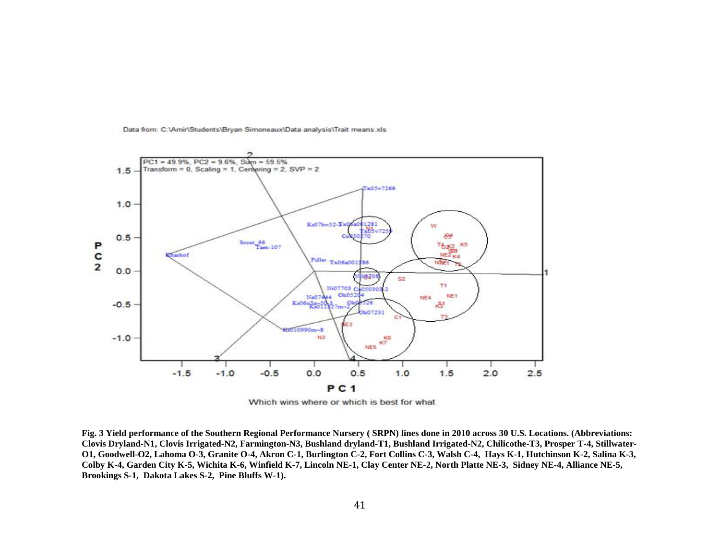

Data from: C:\Amir\Students\Bryan Simoneaux\Data analysis\Trait means.xls

**Fig. 3 Yield performance of the Southern Regional Performance Nursery ( SRPN) lines done in 2010 across 30 U.S. Locations. (Abbreviations: Clovis Dryland-N1, Clovis Irrigated-N2, Farmington-N3, Bushland dryland-T1, Bushland Irrigated-N2, Chilicothe-T3, Prosper T-4, Stillwater-O1, Goodwell-O2, Lahoma O-3, Granite O-4, Akron C-1, Burlington C-2, Fort Collins C-3, Walsh C-4, Hays K-1, Hutchinson K-2, Salina K-3, Colby K-4, Garden City K-5, Wichita K-6, Winfield K-7, Lincoln NE-1, Clay Center NE-2, North Platte NE-3, Sidney NE-4, Alliance NE-5, Brookings S-1, Dakota Lakes S-2, Pine Bluffs W-1).**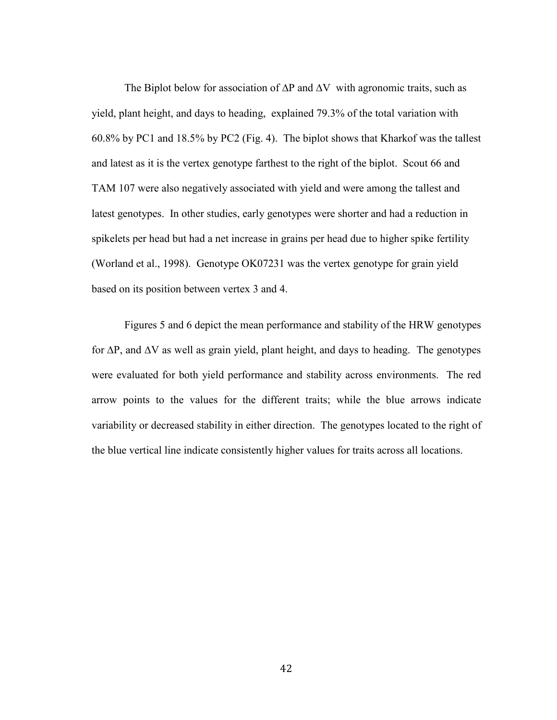The Biplot below for association of  $\Delta P$  and  $\Delta V$  with agronomic traits, such as yield, plant height, and days to heading, explained 79.3% of the total variation with 60.8% by PC1 and 18.5% by PC2 (Fig. 4). The biplot shows that Kharkof was the tallest and latest as it is the vertex genotype farthest to the right of the biplot. Scout 66 and TAM 107 were also negatively associated with yield and were among the tallest and latest genotypes. In other studies, early genotypes were shorter and had a reduction in spikelets per head but had a net increase in grains per head due to higher spike fertility (Worland et al., 1998). Genotype OK07231 was the vertex genotype for grain yield based on its position between vertex 3 and 4.

Figures 5 and 6 depict the mean performance and stability of the HRW genotypes for ∆P, and ∆V as well as grain yield, plant height, and days to heading. The genotypes were evaluated for both yield performance and stability across environments. The red arrow points to the values for the different traits; while the blue arrows indicate variability or decreased stability in either direction. The genotypes located to the right of the blue vertical line indicate consistently higher values for traits across all locations.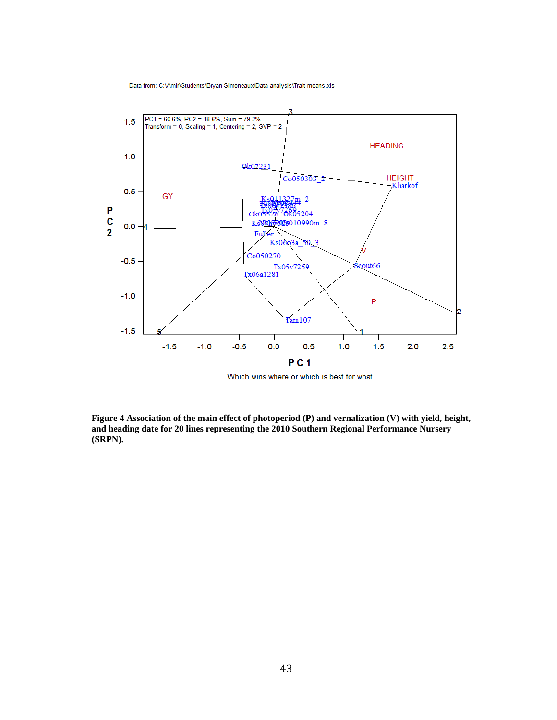Data from: C:\Amir\Students\Bryan Simoneaux\Data analysis\Trait means.xls



Which wins where or which is best for what

**Figure 4 Association of the main effect of photoperiod (P) and vernalization (V) with yield, height, and heading date for 20 lines representing the 2010 Southern Regional Performance Nursery (SRPN).**